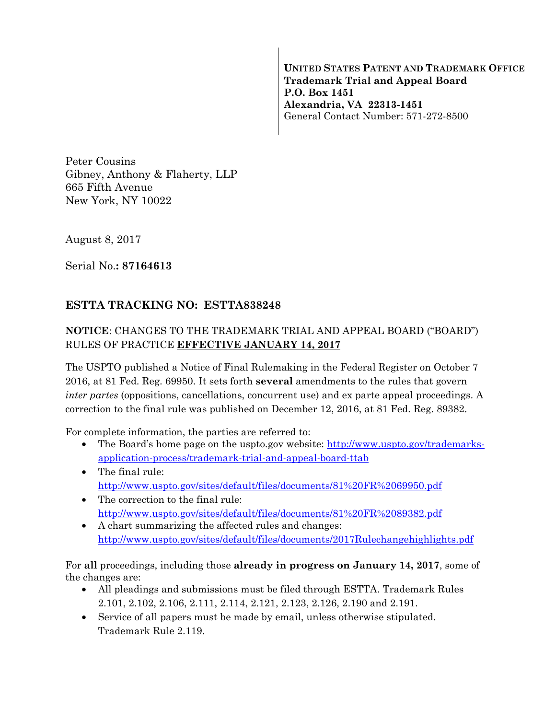**UNITED STATES PATENT AND TRADEMARK OFFICE Trademark Trial and Appeal Board P.O. Box 1451 Alexandria, VA 22313-1451**  General Contact Number: 571-272-8500

Peter Cousins Gibney, Anthony & Flaherty, LLP 665 Fifth Avenue New York, NY 10022

August 8, 2017

Serial No.**: 87164613** 

## **ESTTA TRACKING NO: ESTTA838248**

## **NOTICE**: CHANGES TO THE TRADEMARK TRIAL AND APPEAL BOARD ("BOARD") RULES OF PRACTICE **EFFECTIVE JANUARY 14, 2017**

The USPTO published a Notice of Final Rulemaking in the Federal Register on October 7 2016, at 81 Fed. Reg. 69950. It sets forth **several** amendments to the rules that govern *inter partes* (oppositions, cancellations, concurrent use) and ex parte appeal proceedings. A correction to the final rule was published on December 12, 2016, at 81 Fed. Reg. 89382.

For complete information, the parties are referred to:

- The Board's home page on the uspto.gov website: http://www.uspto.gov/trademarksapplication-process/trademark-trial-and-appeal-board-ttab
- The final rule: http://www.uspto.gov/sites/default/files/documents/81%20FR%2069950.pdf
- The correction to the final rule: http://www.uspto.gov/sites/default/files/documents/81%20FR%2089382.pdf
- A chart summarizing the affected rules and changes: http://www.uspto.gov/sites/default/files/documents/2017Rulechangehighlights.pdf

For **all** proceedings, including those **already in progress on January 14, 2017**, some of the changes are:

- All pleadings and submissions must be filed through ESTTA. Trademark Rules 2.101, 2.102, 2.106, 2.111, 2.114, 2.121, 2.123, 2.126, 2.190 and 2.191.
- Service of all papers must be made by email, unless otherwise stipulated. Trademark Rule 2.119.